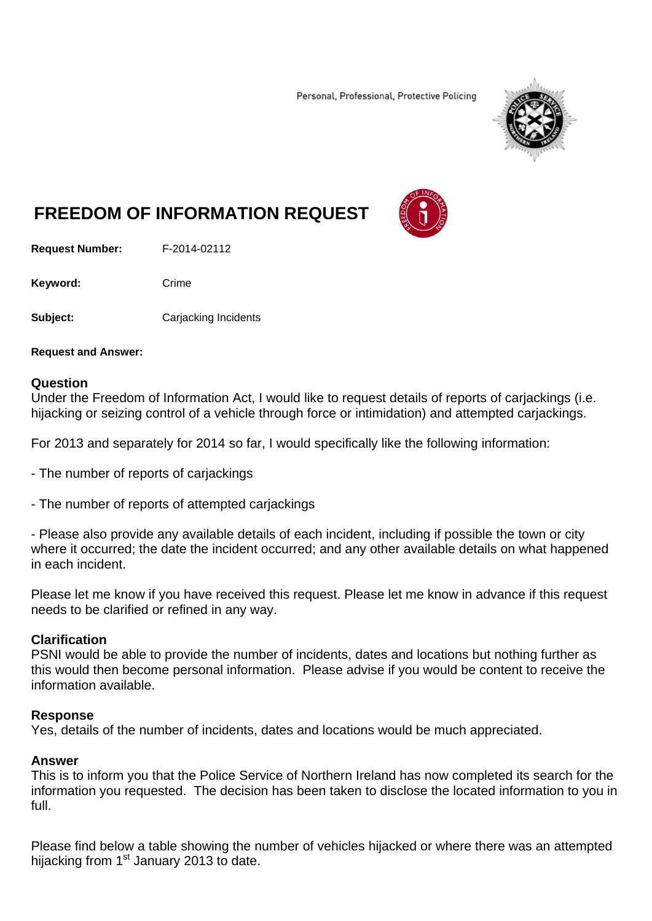Personal, Professional, Protective Policing



# **FREEDOM OF INFORMATION REQUEST**

**Request Number:** F-2014-02112

Keyword: Crime

**Subject:** Carjacking Incidents

**Request and Answer:** 

### **Question**

Under the Freedom of Information Act, I would like to request details of reports of carjackings (i.e. hijacking or seizing control of a vehicle through force or intimidation) and attempted carjackings.

For 2013 and separately for 2014 so far, I would specifically like the following information:

- The number of reports of carjackings
- The number of reports of attempted carjackings

- Please also provide any available details of each incident, including if possible the town or city where it occurred; the date the incident occurred; and any other available details on what happened in each incident.

Please let me know if you have received this request. Please let me know in advance if this request needs to be clarified or refined in any way.

# **Clarification**

PSNI would be able to provide the number of incidents, dates and locations but nothing further as this would then become personal information. Please advise if you would be content to receive the information available.

### **Response**

Yes, details of the number of incidents, dates and locations would be much appreciated.

### **Answer**

This is to inform you that the Police Service of Northern Ireland has now completed its search for the information you requested. The decision has been taken to disclose the located information to you in full.

Please find below a table showing the number of vehicles hijacked or where there was an attempted hijacking from 1<sup>st</sup> January 2013 to date.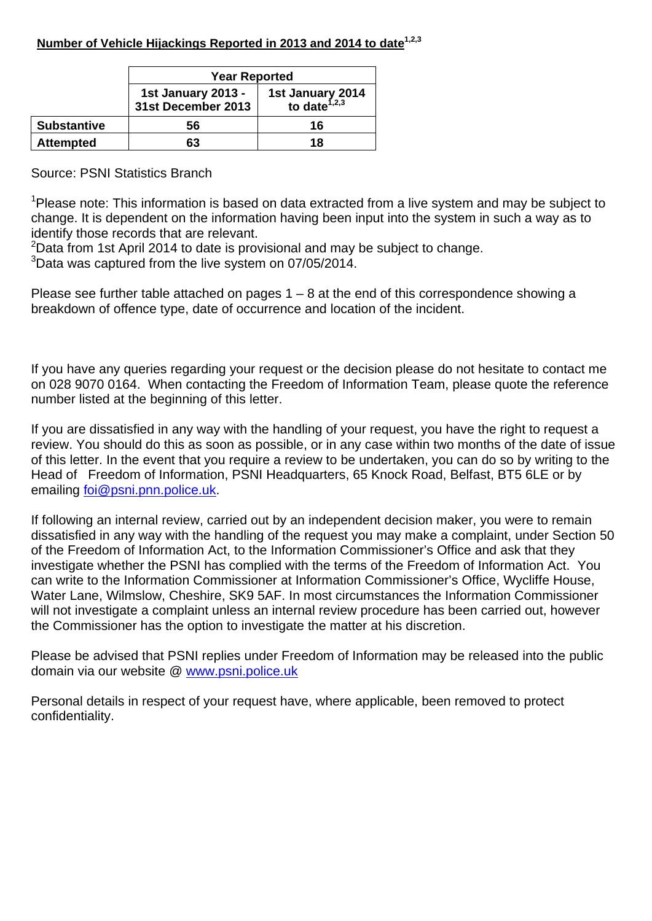|                    | <b>Year Reported</b>                                                                            |    |  |  |
|--------------------|-------------------------------------------------------------------------------------------------|----|--|--|
|                    | <b>1st January 2013 -</b><br>1st January 2014<br>to date <sup>1,2,3</sup><br>31st December 2013 |    |  |  |
| <b>Substantive</b> | 56                                                                                              | 16 |  |  |
| <b>Attempted</b>   | 63                                                                                              | 18 |  |  |

# Source: PSNI Statistics Branch

<sup>1</sup>Please note: This information is based on data extracted from a live system and may be subject to change. It is dependent on the information having been input into the system in such a way as to identify those records that are relevant.

 $2$ Data from 1st April 2014 to date is provisional and may be subject to change.

<sup>3</sup>Data was captured from the live system on 07/05/2014.

Please see further table attached on pages  $1 - 8$  at the end of this correspondence showing a breakdown of offence type, date of occurrence and location of the incident.

If you have any queries regarding your request or the decision please do not hesitate to contact me on 028 9070 0164. When contacting the Freedom of Information Team, please quote the reference number listed at the beginning of this letter.

If you are dissatisfied in any way with the handling of your request, you have the right to request a review. You should do this as soon as possible, or in any case within two months of the date of issue of this letter. In the event that you require a review to be undertaken, you can do so by writing to the Head of Freedom of Information, PSNI Headquarters, 65 Knock Road, Belfast, BT5 6LE or by emailing foi@psni.pnn.police.uk.

If following an internal review, carried out by an independent decision maker, you were to remain dissatisfied in any way with the handling of the request you may make a complaint, under Section 50 of the Freedom of Information Act, to the Information Commissioner's Office and ask that they investigate whether the PSNI has complied with the terms of the Freedom of Information Act. You can write to the Information Commissioner at Information Commissioner's Office, Wycliffe House, Water Lane, Wilmslow, Cheshire, SK9 5AF. In most circumstances the Information Commissioner will not investigate a complaint unless an internal review procedure has been carried out, however the Commissioner has the option to investigate the matter at his discretion.

Please be advised that PSNI replies under Freedom of Information may be released into the public domain via our website @ www.psni.police.uk

Personal details in respect of your request have, where applicable, been removed to protect confidentiality.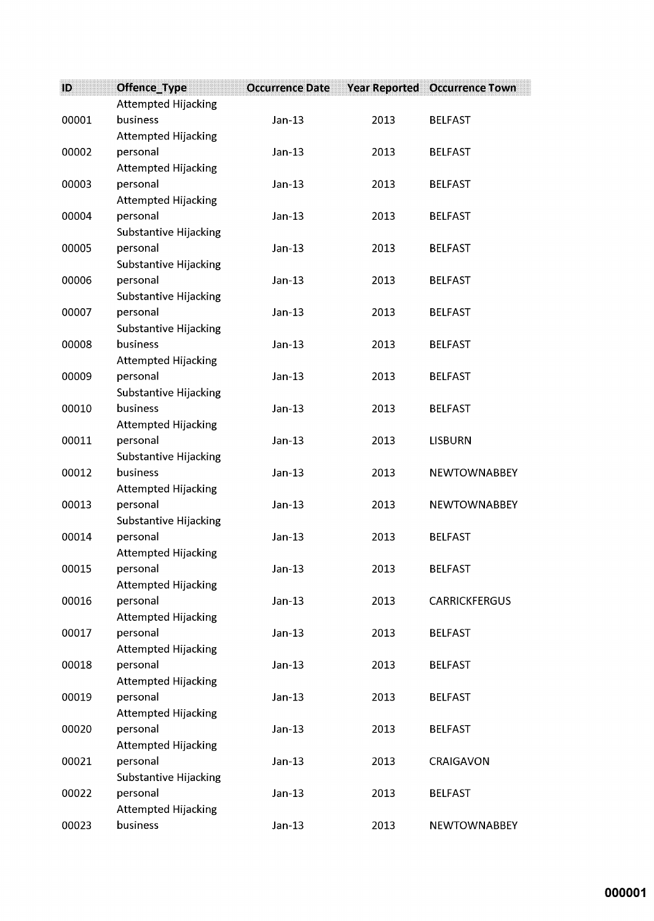| ID    | Offence_Type                           | <b>Occurrence Date</b> | <b>Year Reported</b> | <b>Occurrence Town</b> |
|-------|----------------------------------------|------------------------|----------------------|------------------------|
|       | Attempted Hijacking                    |                        |                      |                        |
| 00001 | business                               | $Jan-13$               | 2013                 | <b>BELFAST</b>         |
|       | <b>Attempted Hijacking</b>             |                        |                      |                        |
| 00002 | personal                               | $Jan-13$               | 2013                 | <b>BELFAST</b>         |
|       | <b>Attempted Hijacking</b>             |                        |                      |                        |
| 00003 | personal                               | $Jan-13$               | 2013                 | <b>BELFAST</b>         |
|       | <b>Attempted Hijacking</b>             |                        |                      |                        |
| 00004 | personal                               | $Jan-13$               | 2013                 | <b>BELFAST</b>         |
|       | Substantive Hijacking                  |                        |                      |                        |
| 00005 | personal                               | $Jan-13$               | 2013                 | <b>BELFAST</b>         |
|       | Substantive Hijacking                  |                        |                      |                        |
| 00006 | personal                               | $Jan-13$               | 2013                 | <b>BELFAST</b>         |
|       | Substantive Hijacking                  |                        |                      |                        |
| 00007 | personal                               | $Jan-13$               | 2013                 | <b>BELFAST</b>         |
|       | Substantive Hijacking                  |                        |                      |                        |
| 00008 | business                               | $Jan-13$               | 2013                 | <b>BELFAST</b>         |
|       | <b>Attempted Hijacking</b>             |                        |                      |                        |
| 00009 | personal                               | $Jan-13$               | 2013                 | <b>BELFAST</b>         |
|       | Substantive Hijacking                  |                        |                      |                        |
| 00010 | business                               | $Jan-13$               | 2013                 | <b>BELFAST</b>         |
|       | Attempted Hijacking                    |                        |                      |                        |
| 00011 | personal                               | $Jan-13$               | 2013                 | <b>LISBURN</b>         |
|       | Substantive Hijacking                  |                        |                      |                        |
| 00012 | business                               | $Jan-13$               | 2013                 | <b>NEWTOWNABBEY</b>    |
|       | Attempted Hijacking                    |                        |                      |                        |
| 00013 | personal                               | $Jan-13$               | 2013                 | <b>NEWTOWNABBEY</b>    |
|       | Substantive Hijacking                  |                        |                      | <b>BELFAST</b>         |
| 00014 | personal                               | $Jan-13$               | 2013                 |                        |
| 00015 | <b>Attempted Hijacking</b><br>personal | $Jan-13$               | 2013                 | <b>BELFAST</b>         |
|       | <b>Attempted Hijacking</b>             |                        |                      |                        |
| 00016 | personal                               | $Jan-13$               | 2013                 | <b>CARRICKFERGUS</b>   |
|       | <b>Attempted Hijacking</b>             |                        |                      |                        |
| 00017 | personal                               | $Jan-13$               | 2013                 | <b>BELFAST</b>         |
|       | <b>Attempted Hijacking</b>             |                        |                      |                        |
| 00018 | personal                               | $Jan-13$               | 2013                 | <b>BELFAST</b>         |
|       | <b>Attempted Hijacking</b>             |                        |                      |                        |
| 00019 | personal                               | $Jan-13$               | 2013                 | <b>BELFAST</b>         |
|       | <b>Attempted Hijacking</b>             |                        |                      |                        |
| 00020 | personal                               | $Jan-13$               | 2013                 | <b>BELFAST</b>         |
|       | Attempted Hijacking                    |                        |                      |                        |
| 00021 | personal                               | $Jan-13$               | 2013                 | CRAIGAVON              |
|       | Substantive Hijacking                  |                        |                      |                        |
| 00022 | personal                               | $Jan-13$               | 2013                 | <b>BELFAST</b>         |
|       | <b>Attempted Hijacking</b>             |                        |                      |                        |
| 00023 | business                               | $Jan-13$               | 2013                 | <b>NEWTOWNABBEY</b>    |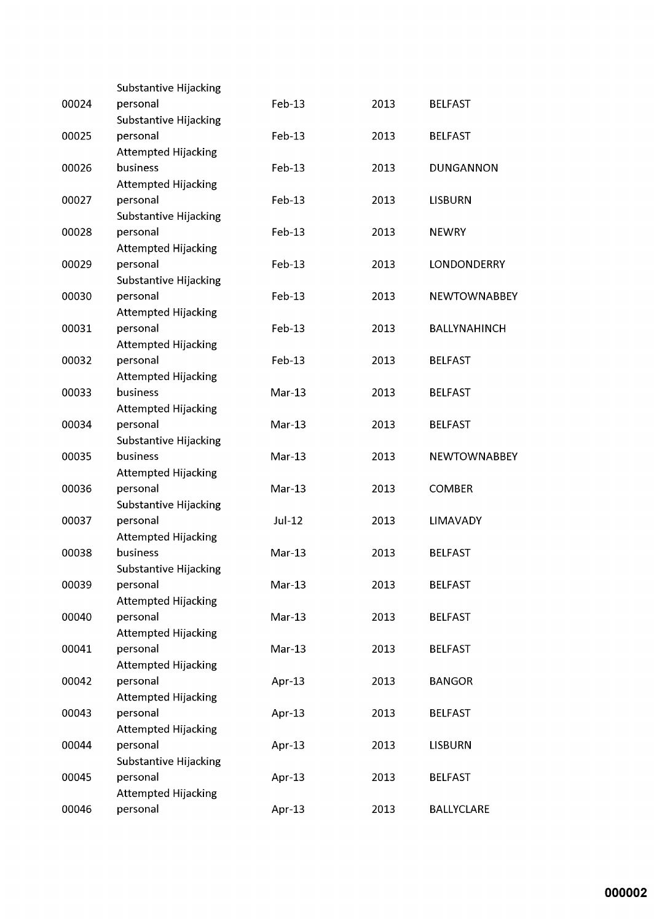|       | Substantive Hijacking      |          |      |                     |
|-------|----------------------------|----------|------|---------------------|
| 00024 | personal                   | Feb-13   | 2013 | <b>BELFAST</b>      |
|       | Substantive Hijacking      |          |      |                     |
| 00025 | personal                   | Feb-13   | 2013 | <b>BELFAST</b>      |
|       | <b>Attempted Hijacking</b> |          |      |                     |
| 00026 | business                   | $Feb-13$ | 2013 | <b>DUNGANNON</b>    |
|       | <b>Attempted Hijacking</b> |          |      |                     |
| 00027 | personal                   | Feb-13   | 2013 | <b>LISBURN</b>      |
|       | Substantive Hijacking      |          |      |                     |
| 00028 | personal                   | Feb-13   | 2013 | <b>NEWRY</b>        |
|       | <b>Attempted Hijacking</b> |          |      |                     |
| 00029 | personal                   | Feb-13   | 2013 | LONDONDERRY         |
|       | Substantive Hijacking      |          |      |                     |
| 00030 | personal                   | Feb-13   | 2013 | <b>NEWTOWNABBEY</b> |
|       | <b>Attempted Hijacking</b> |          |      |                     |
| 00031 | personal                   | Feb-13   | 2013 | <b>BALLYNAHINCH</b> |
|       | <b>Attempted Hijacking</b> |          |      |                     |
| 00032 | personal                   | Feb-13   | 2013 | <b>BELFAST</b>      |
|       | <b>Attempted Hijacking</b> |          |      |                     |
| 00033 | business                   | $Mar-13$ | 2013 | <b>BELFAST</b>      |
|       | <b>Attempted Hijacking</b> |          |      |                     |
| 00034 | personal                   | $Mar-13$ | 2013 | <b>BELFAST</b>      |
|       | Substantive Hijacking      |          |      |                     |
| 00035 | business                   | $Mar-13$ | 2013 | <b>NEWTOWNABBEY</b> |
|       | <b>Attempted Hijacking</b> |          |      |                     |
| 00036 | personal                   | $Mar-13$ | 2013 | <b>COMBER</b>       |
|       | Substantive Hijacking      |          |      |                     |
| 00037 | personal                   | $Jul-12$ | 2013 | LIMAVADY            |
|       | <b>Attempted Hijacking</b> |          |      |                     |
| 00038 | business                   | $Mar-13$ | 2013 | <b>BELFAST</b>      |
|       | Substantive Hijacking      |          |      |                     |
| 00039 | personal                   | $Mar-13$ | 2013 | <b>BELFAST</b>      |
|       | <b>Attempted Hijacking</b> |          |      |                     |
| 00040 | personal                   | $Mar-13$ | 2013 | <b>BELFAST</b>      |
|       | <b>Attempted Hijacking</b> |          |      |                     |
| 00041 | personal                   | $Mar-13$ | 2013 | <b>BELFAST</b>      |
|       | <b>Attempted Hijacking</b> |          |      |                     |
| 00042 | personal                   | Apr-13   | 2013 | <b>BANGOR</b>       |
|       | <b>Attempted Hijacking</b> |          |      |                     |
| 00043 | personal                   | Apr-13   | 2013 | <b>BELFAST</b>      |
|       | <b>Attempted Hijacking</b> |          |      |                     |
| 00044 | personal                   | Apr-13   | 2013 | <b>LISBURN</b>      |
|       | Substantive Hijacking      |          |      |                     |
| 00045 | personal                   | Apr-13   | 2013 | <b>BELFAST</b>      |
|       | <b>Attempted Hijacking</b> |          |      |                     |
| 00046 | personal                   | Apr-13   | 2013 | <b>BALLYCLARE</b>   |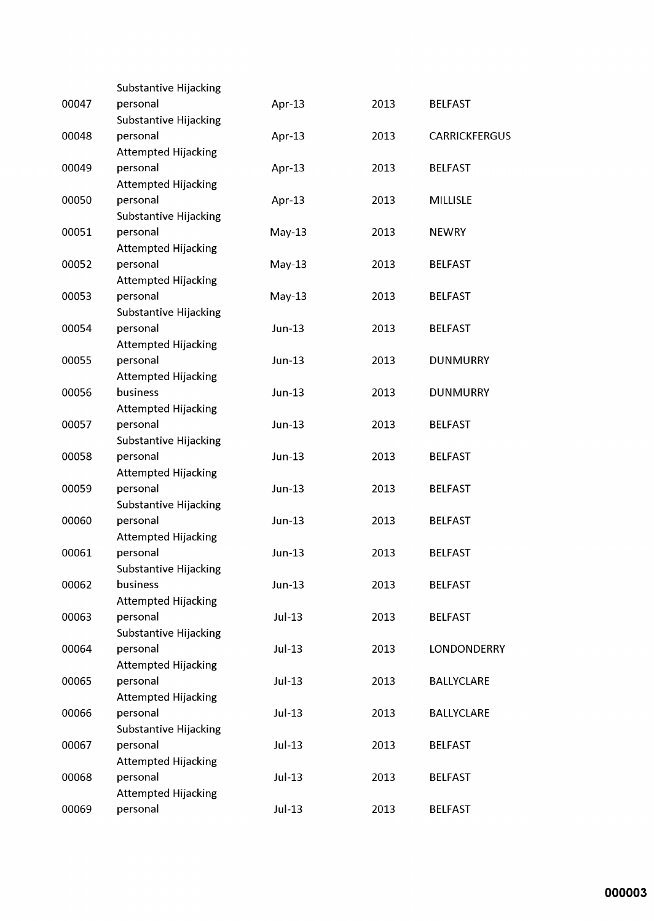|       | Substantive Hijacking             |          |      |                      |
|-------|-----------------------------------|----------|------|----------------------|
| 00047 | personal                          | Apr-13   | 2013 | <b>BELFAST</b>       |
|       | Substantive Hijacking             |          |      |                      |
| 00048 | personal                          | Apr-13   | 2013 | <b>CARRICKFERGUS</b> |
|       | <b>Attempted Hijacking</b>        |          |      |                      |
| 00049 | personal                          | Apr-13   | 2013 | <b>BELFAST</b>       |
|       | <b>Attempted Hijacking</b>        |          |      |                      |
| 00050 | personal                          | Apr-13   | 2013 | <b>MILLISLE</b>      |
|       | Substantive Hijacking             |          |      |                      |
| 00051 | personal                          | $May-13$ | 2013 | <b>NEWRY</b>         |
|       | <b>Attempted Hijacking</b>        |          |      |                      |
| 00052 | personal                          | $May-13$ | 2013 | <b>BELFAST</b>       |
|       | <b>Attempted Hijacking</b>        |          |      |                      |
| 00053 | personal                          | $May-13$ | 2013 | <b>BELFAST</b>       |
|       | Substantive Hijacking             |          |      |                      |
| 00054 | personal                          | Jun-13   | 2013 | <b>BELFAST</b>       |
|       | <b>Attempted Hijacking</b>        |          |      |                      |
| 00055 | personal                          | Jun-13   | 2013 | <b>DUNMURRY</b>      |
|       | <b>Attempted Hijacking</b>        |          |      |                      |
| 00056 | business                          | Jun-13   | 2013 | <b>DUNMURRY</b>      |
|       | <b>Attempted Hijacking</b>        |          |      |                      |
| 00057 | personal                          | Jun-13   | 2013 | <b>BELFAST</b>       |
|       | Substantive Hijacking             |          |      |                      |
| 00058 | personal                          | Jun-13   | 2013 | <b>BELFAST</b>       |
|       | <b>Attempted Hijacking</b>        |          |      |                      |
| 00059 | personal                          | Jun-13   | 2013 | <b>BELFAST</b>       |
|       | Substantive Hijacking             |          |      |                      |
| 00060 | personal                          | Jun-13   | 2013 | <b>BELFAST</b>       |
|       | <b>Attempted Hijacking</b>        |          |      |                      |
| 00061 | personal                          | Jun-13   | 2013 | <b>BELFAST</b>       |
| 00062 | Substantive Hijacking<br>business | Jun-13   | 2013 |                      |
|       | <b>Attempted Hijacking</b>        |          |      | <b>BELFAST</b>       |
| 00063 | personal                          | $Jul-13$ | 2013 | <b>BELFAST</b>       |
|       | Substantive Hijacking             |          |      |                      |
| 00064 | personal                          | Jul-13   | 2013 | <b>LONDONDERRY</b>   |
|       | <b>Attempted Hijacking</b>        |          |      |                      |
| 00065 | personal                          | Jul-13   | 2013 | <b>BALLYCLARE</b>    |
|       | <b>Attempted Hijacking</b>        |          |      |                      |
| 00066 | personal                          | Jul-13   | 2013 | <b>BALLYCLARE</b>    |
|       | Substantive Hijacking             |          |      |                      |
| 00067 | personal                          | Jul-13   | 2013 | <b>BELFAST</b>       |
|       | <b>Attempted Hijacking</b>        |          |      |                      |
| 00068 | personal                          | Jul-13   | 2013 | <b>BELFAST</b>       |
|       | <b>Attempted Hijacking</b>        |          |      |                      |
| 00069 | personal                          | $Jul-13$ | 2013 | <b>BELFAST</b>       |
|       |                                   |          |      |                      |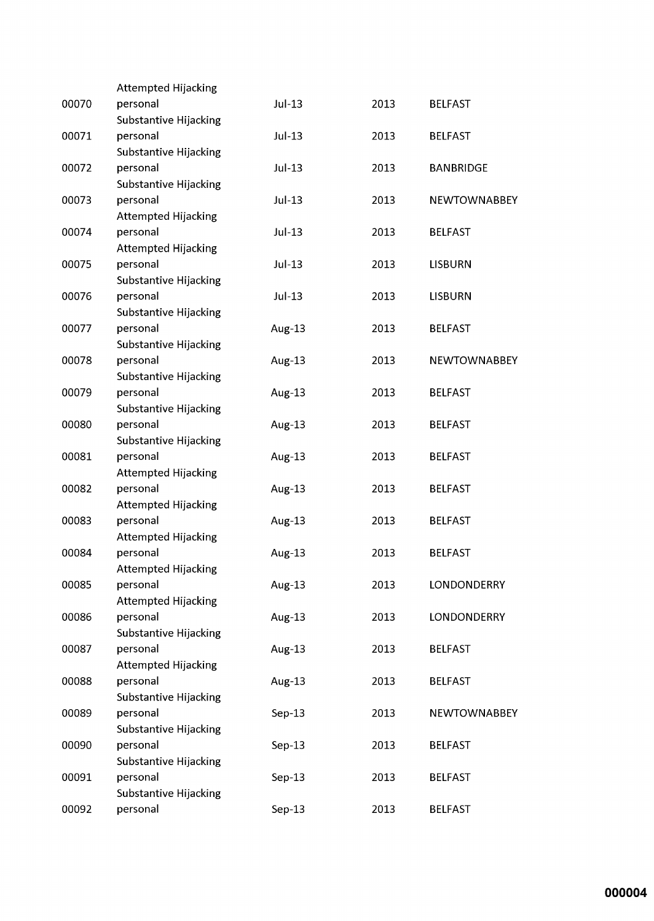|       | <b>Attempted Hijacking</b>   |          |      |                     |
|-------|------------------------------|----------|------|---------------------|
| 00070 | personal                     | Jul-13   | 2013 | <b>BELFAST</b>      |
|       | Substantive Hijacking        |          |      |                     |
| 00071 | personal                     | Jul-13   | 2013 | <b>BELFAST</b>      |
|       | Substantive Hijacking        |          |      |                     |
| 00072 | personal                     | Jul-13   | 2013 | <b>BANBRIDGE</b>    |
|       | Substantive Hijacking        |          |      |                     |
| 00073 | personal                     | Jul-13   | 2013 | <b>NEWTOWNABBEY</b> |
|       | <b>Attempted Hijacking</b>   |          |      |                     |
| 00074 | personal                     | Jul-13   | 2013 | <b>BELFAST</b>      |
|       | <b>Attempted Hijacking</b>   |          |      |                     |
| 00075 | personal                     | Jul-13   | 2013 | <b>LISBURN</b>      |
|       | Substantive Hijacking        |          |      |                     |
| 00076 | personal                     | Jul-13   | 2013 | <b>LISBURN</b>      |
|       | Substantive Hijacking        |          |      |                     |
| 00077 | personal                     | Aug-13   | 2013 | <b>BELFAST</b>      |
|       | Substantive Hijacking        |          |      |                     |
| 00078 | personal                     | Aug-13   | 2013 | <b>NEWTOWNABBEY</b> |
|       | Substantive Hijacking        |          |      |                     |
| 00079 | personal                     | Aug-13   | 2013 | <b>BELFAST</b>      |
|       | Substantive Hijacking        |          |      |                     |
| 00080 | personal                     | Aug-13   | 2013 | <b>BELFAST</b>      |
|       | Substantive Hijacking        |          |      |                     |
| 00081 | personal                     | Aug-13   | 2013 | <b>BELFAST</b>      |
|       | <b>Attempted Hijacking</b>   |          |      |                     |
| 00082 | personal                     | Aug-13   | 2013 | <b>BELFAST</b>      |
|       | <b>Attempted Hijacking</b>   |          |      |                     |
| 00083 | personal                     | Aug-13   | 2013 | <b>BELFAST</b>      |
|       | <b>Attempted Hijacking</b>   |          |      |                     |
| 00084 | personal                     | Aug-13   | 2013 | <b>BELFAST</b>      |
|       | Attempted Hijacking          |          |      |                     |
| 00085 | personal                     | Aug-13   | 2013 | LONDONDERRY         |
|       | <b>Attempted Hijacking</b>   |          |      |                     |
| 00086 | personal                     | Aug-13   | 2013 | <b>LONDONDERRY</b>  |
|       | Substantive Hijacking        |          |      |                     |
| 00087 | personal                     | Aug-13   | 2013 | <b>BELFAST</b>      |
|       | <b>Attempted Hijacking</b>   |          |      |                     |
| 00088 | personal                     | Aug-13   | 2013 | <b>BELFAST</b>      |
|       | <b>Substantive Hijacking</b> |          |      |                     |
| 00089 | personal                     | $Sep-13$ | 2013 | <b>NEWTOWNABBEY</b> |
|       | Substantive Hijacking        |          |      |                     |
| 00090 | personal                     | $Sep-13$ | 2013 | <b>BELFAST</b>      |
|       | Substantive Hijacking        |          |      |                     |
| 00091 | personal                     | $Sep-13$ | 2013 | <b>BELFAST</b>      |
|       | Substantive Hijacking        |          |      |                     |
| 00092 | personal                     | $Sep-13$ | 2013 | <b>BELFAST</b>      |
|       |                              |          |      |                     |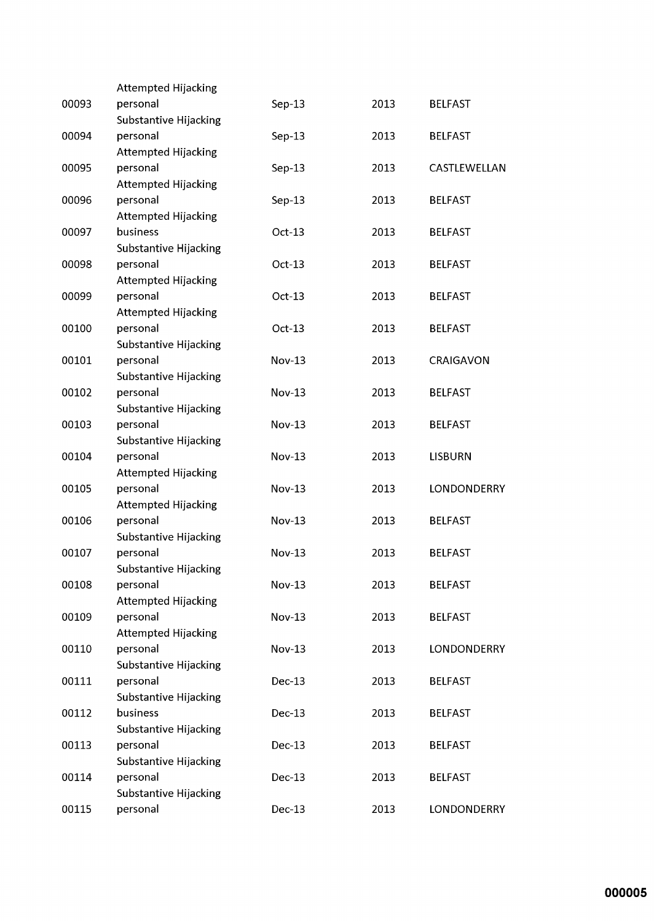|       | <b>Attempted Hijacking</b>   |               |      |                    |
|-------|------------------------------|---------------|------|--------------------|
| 00093 | personal                     | $Sep-13$      | 2013 | <b>BELFAST</b>     |
|       | Substantive Hijacking        |               |      |                    |
| 00094 | personal                     | $Sep-13$      | 2013 | <b>BELFAST</b>     |
|       | <b>Attempted Hijacking</b>   |               |      |                    |
| 00095 | personal                     | $Sep-13$      | 2013 | CASTLEWELLAN       |
|       | <b>Attempted Hijacking</b>   |               |      |                    |
| 00096 | personal                     | $Sep-13$      | 2013 | <b>BELFAST</b>     |
|       | <b>Attempted Hijacking</b>   |               |      |                    |
| 00097 | business                     | $Oct-13$      | 2013 | <b>BELFAST</b>     |
|       | Substantive Hijacking        |               |      |                    |
| 00098 | personal                     | $Oct-13$      | 2013 | <b>BELFAST</b>     |
|       | <b>Attempted Hijacking</b>   |               |      |                    |
| 00099 | personal                     | $Oct-13$      | 2013 | <b>BELFAST</b>     |
|       | <b>Attempted Hijacking</b>   |               |      |                    |
| 00100 | personal                     | $Oct-13$      | 2013 | <b>BELFAST</b>     |
|       | <b>Substantive Hijacking</b> |               |      |                    |
| 00101 | personal                     | Nov-13        | 2013 | CRAIGAVON          |
|       | Substantive Hijacking        |               |      |                    |
| 00102 | personal                     | <b>Nov-13</b> | 2013 | <b>BELFAST</b>     |
|       | Substantive Hijacking        |               |      |                    |
| 00103 | personal                     | <b>Nov-13</b> | 2013 | <b>BELFAST</b>     |
|       | Substantive Hijacking        |               |      |                    |
| 00104 | personal                     | $Nov-13$      | 2013 | <b>LISBURN</b>     |
|       | <b>Attempted Hijacking</b>   |               |      |                    |
| 00105 | personal                     | <b>Nov-13</b> | 2013 | LONDONDERRY        |
|       | <b>Attempted Hijacking</b>   |               |      |                    |
| 00106 | personal                     | Nov-13        | 2013 | <b>BELFAST</b>     |
|       | Substantive Hijacking        |               |      |                    |
| 00107 | personal                     | <b>Nov-13</b> | 2013 | <b>BELFAST</b>     |
|       | Substantive Hijacking        |               |      |                    |
| 00108 | personal                     | <b>Nov-13</b> | 2013 | <b>BELFAST</b>     |
|       | <b>Attempted Hijacking</b>   |               |      |                    |
| 00109 | personal                     | <b>Nov-13</b> | 2013 | <b>BELFAST</b>     |
|       | <b>Attempted Hijacking</b>   |               |      |                    |
| 00110 | personal                     | <b>Nov-13</b> | 2013 | <b>LONDONDERRY</b> |
|       | Substantive Hijacking        |               |      |                    |
| 00111 | personal                     | $Dec-13$      | 2013 | <b>BELFAST</b>     |
|       | Substantive Hijacking        |               |      |                    |
| 00112 | business                     | Dec-13        | 2013 | <b>BELFAST</b>     |
|       | Substantive Hijacking        |               |      |                    |
| 00113 | personal                     | Dec-13        | 2013 | <b>BELFAST</b>     |
|       | Substantive Hijacking        |               |      |                    |
| 00114 | personal                     | Dec-13        | 2013 | <b>BELFAST</b>     |
|       | Substantive Hijacking        |               |      |                    |
| 00115 | personal                     | Dec-13        | 2013 | <b>LONDONDERRY</b> |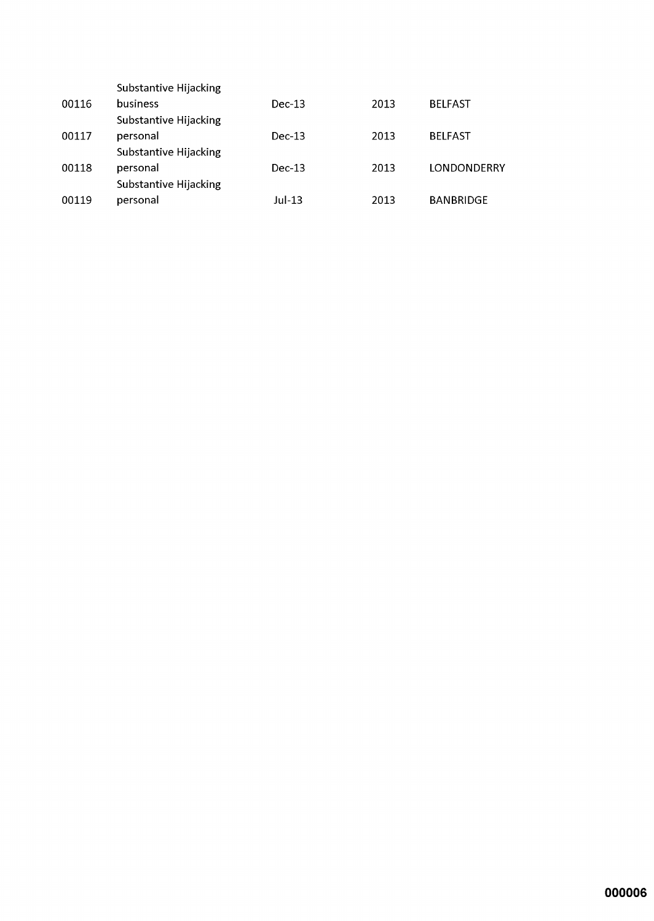|       | Substantive Hijacking |          |      |                  |
|-------|-----------------------|----------|------|------------------|
| 00116 | business              | $Dec-13$ | 2013 | <b>BELFAST</b>   |
|       | Substantive Hijacking |          |      |                  |
| 00117 | personal              | $Dec-13$ | 2013 | <b>BELFAST</b>   |
|       | Substantive Hijacking |          |      |                  |
| 00118 | personal              | $Dec-13$ | 2013 | LONDONDERRY      |
|       | Substantive Hijacking |          |      |                  |
| 00119 | personal              | $Jul-13$ | 2013 | <b>BANBRIDGE</b> |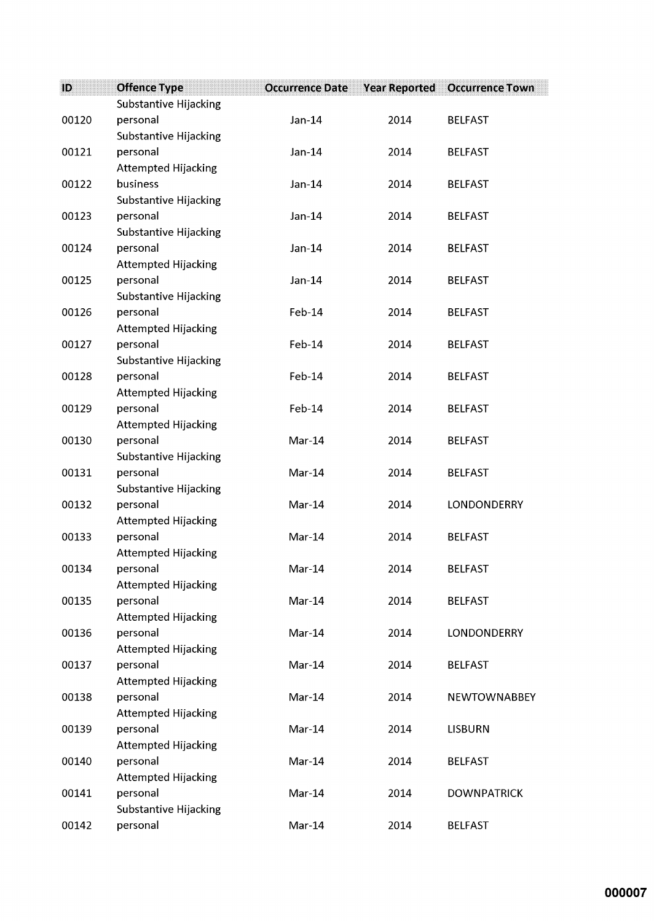| ID    | <b>Offence Type</b>                    | <b>Occurrence Date</b> | <b>Year Reported</b> | <b>Occurrence Town</b> |
|-------|----------------------------------------|------------------------|----------------------|------------------------|
|       | Substantive Hijacking                  |                        |                      |                        |
| 00120 | personal                               | $Jan-14$               | 2014                 | <b>BELFAST</b>         |
|       | Substantive Hijacking                  |                        |                      |                        |
| 00121 | personal                               | $Jan-14$               | 2014                 | <b>BELFAST</b>         |
|       | <b>Attempted Hijacking</b>             |                        |                      |                        |
| 00122 | business                               | $Jan-14$               | 2014                 | <b>BELFAST</b>         |
|       | Substantive Hijacking                  |                        |                      |                        |
| 00123 | personal                               | $Jan-14$               | 2014                 | <b>BELFAST</b>         |
|       | Substantive Hijacking                  |                        |                      |                        |
| 00124 | personal                               | Jan-14                 | 2014                 | <b>BELFAST</b>         |
|       | <b>Attempted Hijacking</b>             |                        |                      |                        |
| 00125 | personal                               | $Jan-14$               | 2014                 | <b>BELFAST</b>         |
|       | Substantive Hijacking                  |                        |                      |                        |
| 00126 | personal                               | Feb-14                 | 2014                 | <b>BELFAST</b>         |
|       | <b>Attempted Hijacking</b>             |                        |                      |                        |
| 00127 | personal                               | Feb-14                 | 2014                 | <b>BELFAST</b>         |
|       | Substantive Hijacking                  |                        |                      |                        |
| 00128 | personal                               | $Feb-14$               | 2014                 | <b>BELFAST</b>         |
|       | <b>Attempted Hijacking</b>             |                        |                      |                        |
| 00129 | personal                               | Feb-14                 | 2014                 | <b>BELFAST</b>         |
|       | <b>Attempted Hijacking</b>             |                        |                      |                        |
| 00130 | personal                               | Mar-14                 | 2014                 | <b>BELFAST</b>         |
|       | Substantive Hijacking                  |                        |                      |                        |
| 00131 | personal                               | Mar-14                 | 2014                 | <b>BELFAST</b>         |
|       | Substantive Hijacking                  |                        |                      |                        |
| 00132 | personal                               | Mar-14                 | 2014                 | LONDONDERRY            |
|       | <b>Attempted Hijacking</b>             | Mar-14                 | 2014                 |                        |
| 00133 | personal<br><b>Attempted Hijacking</b> |                        |                      | <b>BELFAST</b>         |
| 00134 | personal                               | Mar-14                 | 2014                 | <b>BELFAST</b>         |
|       | <b>Attempted Hijacking</b>             |                        |                      |                        |
| 00135 | personal                               | Mar-14                 | 2014                 | <b>BELFAST</b>         |
|       | <b>Attempted Hijacking</b>             |                        |                      |                        |
| 00136 | personal                               | Mar-14                 | 2014                 | LONDONDERRY            |
|       | <b>Attempted Hijacking</b>             |                        |                      |                        |
| 00137 | personal                               | Mar-14                 | 2014                 | <b>BELFAST</b>         |
|       | <b>Attempted Hijacking</b>             |                        |                      |                        |
| 00138 | personal                               | Mar-14                 | 2014                 | <b>NEWTOWNABBEY</b>    |
|       | <b>Attempted Hijacking</b>             |                        |                      |                        |
| 00139 | personal                               | Mar-14                 | 2014                 | <b>LISBURN</b>         |
|       | Attempted Hijacking                    |                        |                      |                        |
| 00140 | personal                               | Mar-14                 | 2014                 | <b>BELFAST</b>         |
|       | <b>Attempted Hijacking</b>             |                        |                      |                        |
| 00141 | personal                               | Mar-14                 | 2014                 | <b>DOWNPATRICK</b>     |
|       | Substantive Hijacking                  |                        |                      |                        |
| 00142 | personal                               | Mar-14                 | 2014                 | <b>BELFAST</b>         |